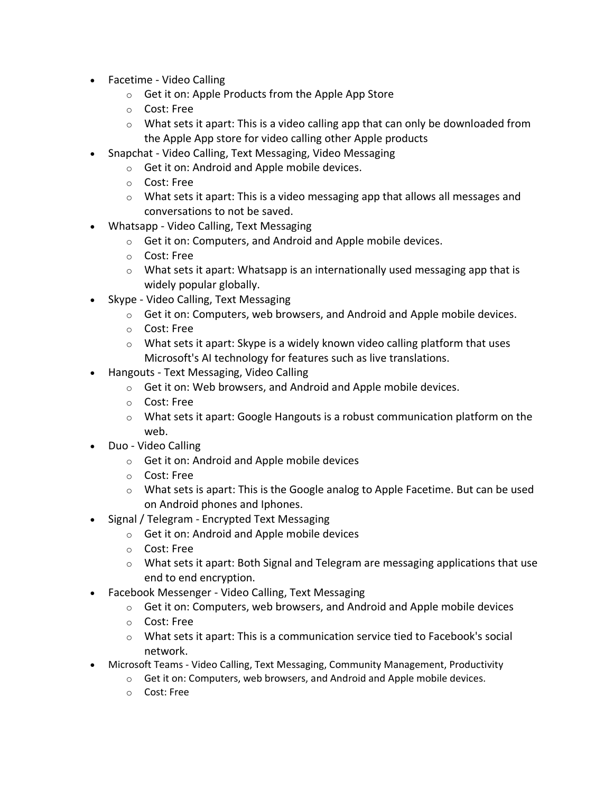- Facetime Video Calling
	- $\circ$  Get it on: Apple Products from the Apple App Store
	- o Cost: Free
	- $\circ$  What sets it apart: This is a video calling app that can only be downloaded from the Apple App store for video calling other Apple products
- Snapchat Video Calling, Text Messaging, Video Messaging
	- o Get it on: Android and Apple mobile devices.
	- o Cost: Free
	- $\circ$  What sets it apart: This is a video messaging app that allows all messages and conversations to not be saved.
- Whatsapp Video Calling, Text Messaging
	- o Get it on: Computers, and Android and Apple mobile devices.
	- o Cost: Free
	- $\circ$  What sets it apart: Whatsapp is an internationally used messaging app that is widely popular globally.
- Skype Video Calling, Text Messaging
	- $\circ$  Get it on: Computers, web browsers, and Android and Apple mobile devices.
	- o Cost: Free
	- $\circ$  What sets it apart: Skype is a widely known video calling platform that uses Microsoft's AI technology for features such as live translations.
- Hangouts Text Messaging, Video Calling
	- $\circ$  Get it on: Web browsers, and Android and Apple mobile devices.
	- o Cost: Free
	- $\circ$  What sets it apart: Google Hangouts is a robust communication platform on the web.
- Duo Video Calling
	- o Get it on: Android and Apple mobile devices
	- o Cost: Free
	- $\circ$  What sets is apart: This is the Google analog to Apple Facetime. But can be used on Android phones and Iphones.
- Signal / Telegram Encrypted Text Messaging
	- o Get it on: Android and Apple mobile devices
	- o Cost: Free
	- $\circ$  What sets it apart: Both Signal and Telegram are messaging applications that use end to end encryption.
- Facebook Messenger Video Calling, Text Messaging
	- $\circ$  Get it on: Computers, web browsers, and Android and Apple mobile devices
	- o Cost: Free
	- $\circ$  What sets it apart: This is a communication service tied to Facebook's social network.
- Microsoft Teams Video Calling, Text Messaging, Community Management, Productivity
	- $\circ$  Get it on: Computers, web browsers, and Android and Apple mobile devices.
	- o Cost: Free